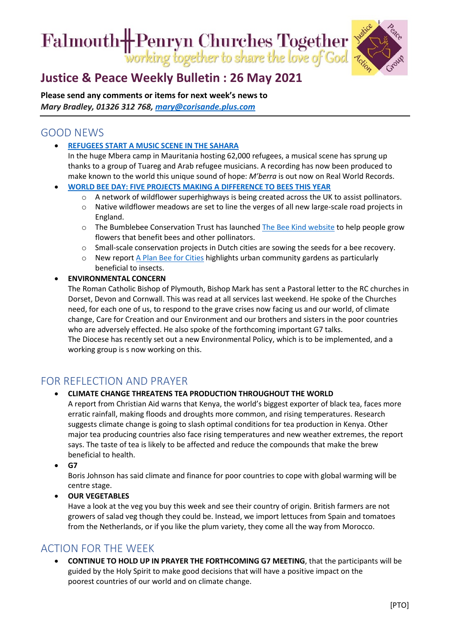# Falmouth- Penryn Churches Together



## **[Justice & Peace Weekly Bulletin : 26](https://ctcinfohub.us20.list-manage.com/track/click?u=b645f09ec283e4df6750ff7ee&id=b04d1aea1f&e=5e2c195eda) May 2021**

**Please send any comments or items for next week's news to**  *Mary Bradley, 01326 312 768, [mary@corisande.plus.com](mailto:mary@corisande.plus.com)*

## GOOD NEWS

• **[REFUGEES START A MUSIC SCENE IN THE SAHARA](https://www.positive.news/lifestyle/culture/the-refugees-who-started-a-music-scene-in-the-sahara-desert/)**

In the huge Mbera camp in Mauritania hosting 62,000 refugees, a musical scene has sprung up thanks to a group of Tuareg and Arab refugee musicians. A recording has now been produced to make known to the world this unique sound of hope: *M'berra* is out now on Real World Records.

- **[WORLD BEE DAY: FIVE PROJECTS MAKING A DIFFERENCE TO BEES THIS YEAR](https://www.positive.news/environment/world-bee-day-five-projects-making-a-difference-to-bees-this-year/)**
	- A network of wildflower superhighways is being created across the UK to assist pollinators.
	- o Native wildflower meadows are set to line the verges of all new large-scale road projects in England.
	- o The Bumblebee Conservation Trust has launched [The Bee Kind website](https://beekind.bumblebeeconservation.org/home.php) to help people grow flowers that benefit bees and other pollinators.
	- o Small-scale conservation projects in Dutch cities are sowing the seeds for a bee recovery.
	- o New report [A Plan Bee for Cities](https://journals.plos.org/plosone/article?id=10.1371/journal.pone.0235492#sec025) highlights urban community gardens as particularly beneficial to insects.

#### • **ENVIRONMENTAL CONCERN**

The Roman Catholic Bishop of Plymouth, Bishop Mark has sent a Pastoral letter to the RC churches in Dorset, Devon and Cornwall. This was read at all services last weekend. He spoke of the Churches need, for each one of us, to respond to the grave crises now facing us and our world, of climate change, Care for Creation and our Environment and our brothers and sisters in the poor countries who are adversely effected. He also spoke of the forthcoming important G7 talks. The Diocese has recently set out a new Environmental Policy, which is to be implemented, and a working group is s now working on this.

## FOR REFLECTION AND PRAYER

#### • **CLIMATE CHANGE THREATENS TEA PRODUCTION THROUGHOUT THE WORLD**

A report from Christian Aid warns that Kenya, the world's biggest exporter of black tea, faces more erratic rainfall, making floods and droughts more common, and rising temperatures. Research suggests climate change is going to slash optimal conditions for tea production in Kenya. Other major tea producing countries also face rising temperatures and new weather extremes, the report says. The taste of tea is likely to be affected and reduce the compounds that make the brew beneficial to health.

• **G7**

Boris Johnson has said climate and finance for poor countries to cope with global warming will be centre stage.

• **OUR VEGETABLES**

Have a look at the veg you buy this week and see their country of origin. British farmers are not growers of salad veg though they could be. Instead, we import lettuces from Spain and tomatoes from the Netherlands, or if you like the plum variety, they come all the way from Morocco.

### ACTION FOR THE WEEK

• **CONTINUE TO HOLD UP IN PRAYER THE FORTHCOMING G7 MEETING**, that the participants will be guided by the Holy Spirit to make good decisions that will have a positive impact on the poorest countries of our world and on climate change.